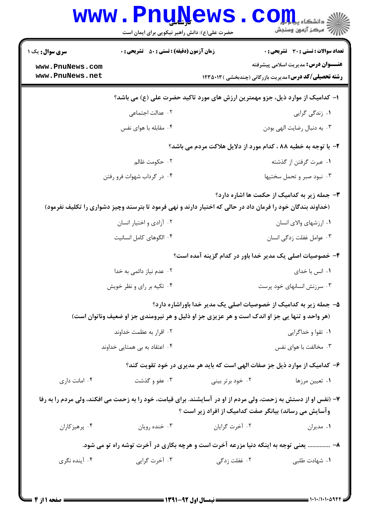|                 | حضرت علی(ع): دانش راهبر نیکویی برای ایمان است                                                                  |                  | رآب مرڪز آزمون وسنڊش                                              |
|-----------------|----------------------------------------------------------------------------------------------------------------|------------------|-------------------------------------------------------------------|
| سری سوال: یک ۱  | <b>زمان آزمون (دقیقه) : تستی : 50 ٪ تشریحی : 0</b>                                                             |                  | <b>تعداد سوالات : تستی : 30 ٪ تشریحی : 0</b>                      |
| www.PnuNews.com |                                                                                                                |                  | <b>عنـــوان درس:</b> مدیریت اسلامی پیشرفته                        |
| www.PnuNews.net |                                                                                                                |                  | <b>رشته تحصیلی/کد درس:</b> مدیریت بازرگانی (چندبخشی ) ۱۲۳۵۰۱۳     |
|                 | ا– کدامیک از موارد ذیل، جزو مهمترین ارزش های مورد تاکید حضرت علی (ع) می باشد؟                                  |                  |                                                                   |
|                 | ۰۲ عدالت اجتماعی                                                                                               |                  | ۰۱ زندگی گرایی                                                    |
|                 | ۰۴ مقابله با هوای نفس                                                                                          |                  | ۰۳ به دنبال رضایت الهی بودن                                       |
|                 |                                                                                                                |                  | ۲- با توجه به خطبه ۸۸ ، کدام مورد از دلایل هلاکت مردم می باشد؟    |
|                 | ۰۲ حکومت ظالم                                                                                                  |                  | ۰۱ عبرت گرفتن از گذشته                                            |
|                 | ۰۴ در گرداب شهوات فرو رفتن                                                                                     |                  | ۰۳ نبود صبر و تحمل سختیها                                         |
|                 |                                                                                                                |                  | ۰۳ جمله زیر به کدامیک از حکمت ها اشاره دارد؟                      |
|                 | (خداوند بندگان خود را فرمان داد در حالی که اختیار دارند و نهی فرمود تا بترسند وچیز دشواری را تکلیف نفرمود)     |                  |                                                                   |
|                 | ۰۲ آزادی و اختیار انسان                                                                                        |                  | ۰۱ ارزشهای والای انسان                                            |
|                 | ۰۴ الگوهای کامل انسانیت                                                                                        |                  | ۰۳ عوامل غفلت زدگی انسان                                          |
|                 |                                                                                                                |                  | ۴– خصوصیات اصلی یک مدیر خدا باور در کدام گزینه آمده است؟          |
|                 | ۰۲ عدم نیاز دائمی به خدا                                                                                       |                  | ۰۱ انس با خدای                                                    |
|                 | ۰۴ تکیه بر رای و نظر خویش                                                                                      |                  | ۰۳ سرزنش انسانهای خود پرست                                        |
|                 |                                                                                                                |                  | ۵– جمله زیر به کدامیک از خصوصیات اصلی یک مدیر خدا باوراشاره دارد؟ |
|                 | (هر واحد و تنها یی جز او اندک است و هر عزیزی جز او ذلیل و هر نیرومندی جز او ضعیف وناتوان است)                  |                  |                                                                   |
|                 | ۰۲ اقرار به عظمت خداوند                                                                                        |                  | ۰۱ تقوا و خداگرایی                                                |
|                 | ۰۴ اعتقاد به بی همتایی خداوند                                                                                  |                  | ۰۳ مخالفت با هوای نفس                                             |
|                 | ۶– کدامیک از موارد ذیل جز صفات الهی است که باید هر مدیری در خود تقویت کند؟                                     |                  |                                                                   |
| ۰۴ امانت داری   | ۰۳ عفو و گذشت                                                                                                  | ۰۲ خود برتر بینی | ۰۱ تعیین مرزها                                                    |
|                 | ۷– (نفس او از دستش به زحمت، ولی مردم از او در آسایشند. برای قیامت، خود را به زحمت می افکند، ولی مردم را به رفا |                  |                                                                   |
|                 |                                                                                                                |                  | وآسایش می رساند) بیانگر صفت کدامیک از افراد زیر است ؟             |
| ۰۴ پرهيزكاران   | ۰۳ خنده رويان                                                                                                  | ۰۲ آخرت گرایان   | ۰۱ مدیران                                                         |
|                 | ۸-  یعنی توجه به اینکه دنیا مزرعه آخرت است و هرچه بکاری در آخرت توشه راه تو می شود.                            |                  |                                                                   |
| ۰۴ آینده نگری   | ۰۳ آخرت گرایی                                                                                                  | ۰۲ غفلت زدگی     | ۰۱ شهادت طلبی                                                     |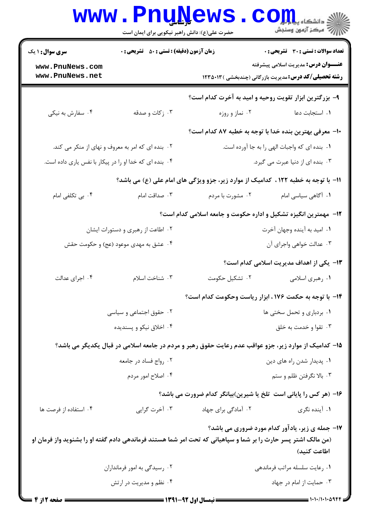|                                                                                    | <b>www.PnuNews</b><br>حضرت علی(ع): دانش راهبر نیکویی برای ایمان است |                                                                                                               | ر<br>این دانشکاه پیام اول<br>این مرکز آزمهن وسنجش                                                           |  |
|------------------------------------------------------------------------------------|---------------------------------------------------------------------|---------------------------------------------------------------------------------------------------------------|-------------------------------------------------------------------------------------------------------------|--|
| <b>سری سوال : ۱ یک</b>                                                             | <b>زمان آزمون (دقیقه) : تستی : ۵۰ تشریحی : 0</b>                    |                                                                                                               | <b>تعداد سوالات : تستی : 30 ٪ تشریحی : 0</b>                                                                |  |
| www.PnuNews.com<br>www.PnuNews.net                                                 |                                                                     |                                                                                                               | <b>عنـــوان درس:</b> مدیریت اسلامی پیشرفته<br><b>رشته تحصیلی/کد درس:</b> مدیریت بازرگانی (چندبخشی ) ۱۲۳۵۰۱۳ |  |
|                                                                                    |                                                                     | ۹- بزرگترین ابزار تقویت روحیه و امید به آخرت کدام است؟                                                        |                                                                                                             |  |
| ۰۴ سفارش به نیکی                                                                   | ۰۳ زکات و صدقه                                                      | ۰۲ نماز و روزه                                                                                                | ٠١ استجابت دعا                                                                                              |  |
|                                                                                    |                                                                     | ∙ا− معرفی بهترین بنده خدا با توجه به خطبه ۸۷ کدام است؟                                                        |                                                                                                             |  |
|                                                                                    | ۰۲ بنده ای که امر به معروف و نهای از منکر می کند.                   |                                                                                                               | ٠١. بنده اي كه واجبات الهي را به جا آورده است.                                                              |  |
| ۰۴ بنده ای که خدا او را در پیکار با نفس یاری داده است.                             |                                                                     |                                                                                                               | ۰۳ بنده ای از دنیا عبرت می گیرد.                                                                            |  |
| 11- با توجه به خطبه ١٢٢ ، كداميك از موارد زير، جزو ويژگي هاي امام علي (ع) مي باشد؟ |                                                                     |                                                                                                               |                                                                                                             |  |
| ۰۴ بی تکلفی امام                                                                   | ۰۳ صداقت امام                                                       | ۰۲ مشورت با مردم                                                                                              | ۰۱ آگاهی سیاسی امام                                                                                         |  |
|                                                                                    |                                                                     | ۱۲- مهمترین انگیزه تشکیل و اداره حکومت و جامعه اسلامی کدام است؟                                               |                                                                                                             |  |
|                                                                                    | ۰۲ اطاعت از رهبری و دستورات ایشان                                   |                                                                                                               | ۰۱ امید به آینده وجهان آخرت                                                                                 |  |
|                                                                                    | ۰۴ عشق به مهدی موعود (عج) و حکومت حقش                               |                                                                                                               | ٠٣ عدالت خواهي واجراى آن                                                                                    |  |
|                                                                                    |                                                                     |                                                                                                               | ۱۳- یکی از اهداف مدیریت اسلامی کدام است؟                                                                    |  |
| ۰۴ اجرای عدالت                                                                     | ٠٣ شناخت اسلام                                                      | ۰۲ تشکیل حکومت                                                                                                | ۰۱ رهبري اسلامي                                                                                             |  |
|                                                                                    |                                                                     | 1۴- با توجه به حکمت ۱۷۶، ابزار ریاست وحکومت کدام است؟                                                         |                                                                                                             |  |
|                                                                                    | ۰۲ حقوق اجتماعی و سیاسی                                             | ۰۱ بردباری و تحمل سختی ها                                                                                     |                                                                                                             |  |
| ۰۴ اخلاق نیکو و پسندیده                                                            |                                                                     | ۰۳ تقوا و خدمت به خلق                                                                                         |                                                                                                             |  |
|                                                                                    |                                                                     | ۱۵– کدامیک از موارد زیر، جزو عواقب عدم رعایت حقوق رهبر و مردم در جامعه اسلامی در قبال یکدیگر می باشد؟         |                                                                                                             |  |
|                                                                                    | ۰۲ رواج فساد در جامعه                                               | ۰۱ پدیدار شدن راه های دین                                                                                     |                                                                                                             |  |
|                                                                                    | ۰۴ اصلاح امور مردم                                                  |                                                                                                               | ۰۳ بالا نگرفتن ظلم و ستم                                                                                    |  |
|                                                                                    |                                                                     | ۱۶- (هر کس را پایانی است ً تلخ یا شیرین)بیانگر کدام ضرورت می باشد؟                                            |                                                                                                             |  |
| ۰۴ استفاده از فرصت ها                                                              | ۰۳ آخرت گرایی                                                       | ۰۲ آمادگی برای جهاد                                                                                           | ۰۱ آینده نگری                                                                                               |  |
|                                                                                    |                                                                     | (من مالک اشتر پسر حارث را بر شما و سپاهیانی که تحت امر شما هستند فرماندهی دادم گفته او را بشنوید واز فرمان او | <b>۱۷- جمله ی زیر، یادآور کدام مورد ضروری می باشد؟</b><br>اطاعت كنيد)                                       |  |
|                                                                                    | ۰۲ رسیدگی به امور فرمانداران                                        |                                                                                                               | ٠١ رعايت سلسله مراتب فرماندهي                                                                               |  |
|                                                                                    | ۰۴ نظم و مدیریت در ارتش                                             |                                                                                                               | ۰۳ حمایت از امام در جهاد                                                                                    |  |
| <b>: صفحه 2 ا:</b>                                                                 |                                                                     |                                                                                                               | ==== 1+1+/1+1+4944                                                                                          |  |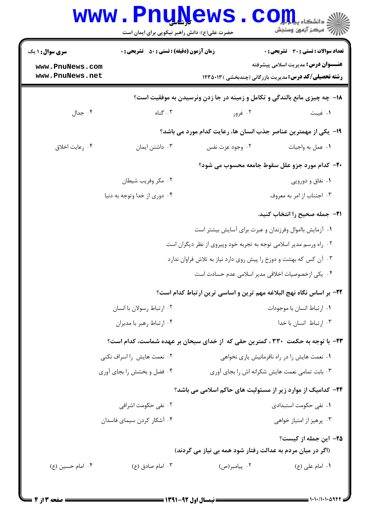| <b>سری سوال :</b> ۱ یک     | <b>زمان آزمون (دقیقه) : تستی : 50 ٪ تشریحی : 0</b> |                                                                    | تعداد سوالات : تستي : 30 ٪ تشريحي : 0                                             |
|----------------------------|----------------------------------------------------|--------------------------------------------------------------------|-----------------------------------------------------------------------------------|
| www.PnuNews.com            |                                                    |                                                                    | <b>عنـــوان درس:</b> مدیریت اسلامی پیشرفته                                        |
| www.PnuNews.net            |                                                    |                                                                    | <b>رشته تحصیلی/کد درس:</b> مدیریت بازرگانی (چندبخشی )۱۲۳۵۰۱۳                      |
|                            |                                                    |                                                                    | <b>۱۸</b> - چه چیزی مانع بالندگی و تکامل و زمینه در جا زدن ونرسیدن به موفقیت است؟ |
| ۰۴ جدال                    | ۰۳ گناه                                            | ۰۲ غرور                                                            | ۰۱ غیبت                                                                           |
|                            |                                                    |                                                                    | ۱۹- یکی از مهمترین عناصر جذب انسان ها، رعایت کدام مورد می باشد؟                   |
| ۰۴ رعايت اخلاق             | ۰۳ داشتن ایمان                                     | ۰۲ وجود عزت نفس                                                    | ٠١ عمل به واجبات                                                                  |
|                            |                                                    |                                                                    | <b>۲۰</b> - کدام مورد جزو علل سقوط جامعه محسوب می شود؟                            |
|                            | ۰۲ مکر وفریب شیطان                                 |                                                                    | ۰۱ نفاق و دورویی                                                                  |
|                            | ۰۴ دوری از خدا وتوجه به دنیا                       |                                                                    | ۰۳ اجتناب از امر به معروف                                                         |
|                            |                                                    |                                                                    | ۲۱−  جمله صحیح را انتخاب کنید.                                                    |
|                            |                                                    |                                                                    | ۰۱ آزمایش بااموال وفرزندان و عبرت برای آسایش بیشتر است                            |
|                            |                                                    | ۰۲ راه ورسم مدیر اسلامی توجه به تجربه خود وپیروی از نظر دیگران است |                                                                                   |
|                            |                                                    | ۰۳ آن کس که بهشت و دوزخ را پیش روی دارد نیاز به تلاش فراوان ندارد  |                                                                                   |
|                            |                                                    |                                                                    | ۰۴ یکی ازخصوصیات اخلاقی مدیر اسلامی عدم حسادت است                                 |
|                            |                                                    |                                                                    | ٢٢- بر اساس نگاه نهج البلاغه مهم ترين و اساسي ترين ارتباط كدام است؟               |
|                            | ۰۲ ارتباط رسولان با انسان                          |                                                                    | ٠١. ارتباط انسان با موجودات                                                       |
|                            | ۰۴ ارتباط رهبر با مديران                           |                                                                    | ۰۳ ارتباط انسان با خدا                                                            |
|                            |                                                    |                                                                    | ۲۳– با توجه به حکمت ۳۳۰ ، کمترین حقی که از خدای سبحان بر عهده شماست، کدام است؟    |
| ۰۲ نعمت هایش را اسراف نکنی |                                                    | ۰۱ نعمت هایش را در راه نافرمانیش یاری نخواهی                       |                                                                                   |
|                            | ۰۴ فضل و بخشش را بجای آوری                         |                                                                    | ۰۳ بابت تمامی نعمت هایش شکرانه اش را بجای آوری                                    |
|                            |                                                    |                                                                    | <b>۲۴</b> - کدامیک از موارد زیر از مسئولیت های حاکم اسلامی می باشد؟               |
|                            | ۲ . نفی حکومت اشرافی                               |                                                                    | ۰۱ نفی حکومت استبدادی                                                             |
|                            | ۰۴ آشکار کردن سیمای فاسدان                         |                                                                    | ۰۳ پرهيز از امتياز خواهي                                                          |
|                            |                                                    | (اگر در میان مردم به عدالت رفتار شود همه بی نیاز می گردند)         | ۲۵– این جمله از کیست؟                                                             |
| ۰۴ امام حسين (ع)           |                                                    |                                                                    | ٠١. امام على (ع)                                                                  |